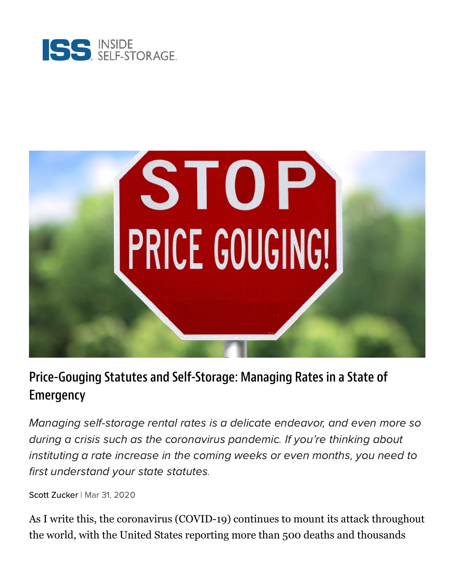



## Price-Gouging Statutes and Self-Storage: Managing Rates in a State of Emergency

Managing self-storage rental rates is a delicate endeavor, and even more so during a crisis such as the coronavirus pandemic. If you're thinking about instituting a rate increase in the coming weeks or even months, you need to first understand your state statutes.

Scott [Zucker](https://www.insideselfstorage.com/author/Scott-Zucker) | Mar 31, 2020

As I write this, the coronavirus (COVID-19) continues to mount its attack throughout the world, with the United States reporting more than 500 deaths and thousands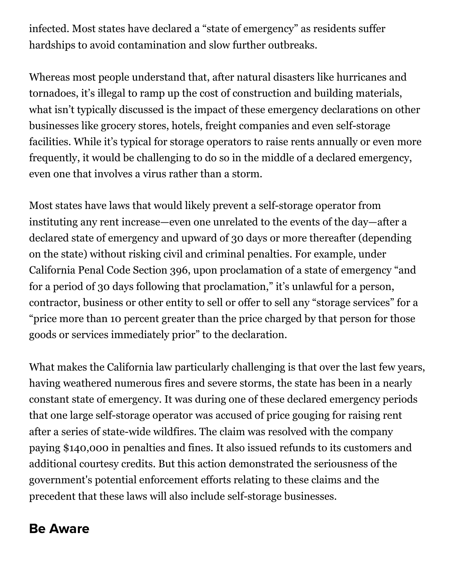infected. Most states have declared a "state of emergency" as residents suffer hardships to avoid contamination and slow further outbreaks.

Whereas most people understand that, after natural disasters like hurricanes and tornadoes, it's illegal to ramp up the cost of construction and building materials, what isn't typically discussed is the impact of these emergency declarations on other businesses like grocery stores, hotels, freight companies and even self-storage facilities. While it's typical for storage operators to raise rents annually or even more frequently, it would be challenging to do so in the middle of a declared emergency, even one that involves a virus rather than a storm.

Most states have laws that would likely prevent a self-storage operator from instituting any rent increase—even one unrelated to the events of the day—after a declared state of emergency and upward of 30 days or more thereafter (depending on the state) without risking civil and criminal penalties. For example, under California Penal Code Section 396, upon proclamation of a state of emergency "and for a period of 30 days following that proclamation," it's unlawful for a person, contractor, business or other entity to sell or offer to sell any "storage services" for a "price more than 10 percent greater than the price charged by that person for those goods or services immediately prior" to the declaration.

What makes the California law particularly challenging is that over the last few years, having weathered numerous fires and severe storms, the state has been in a nearly constant state of emergency. It was during one of these declared emergency periods that one large self-storage operator was [accused of price gouging](https://www.insideselfstorage.com/legal/extended-california-price-gouging-protections-could-affect-self-storage-other-services) for raising rent after a series of state-wide wildfires. The claim was resolved with the company paying \$140,000 in penalties and fines. It also issued refunds to its customers and additional courtesy credits. But this action demonstrated the seriousness of the government's potential enforcement efforts relating to these claims and the precedent that these laws will also include self-storage businesses.

## Be Aware